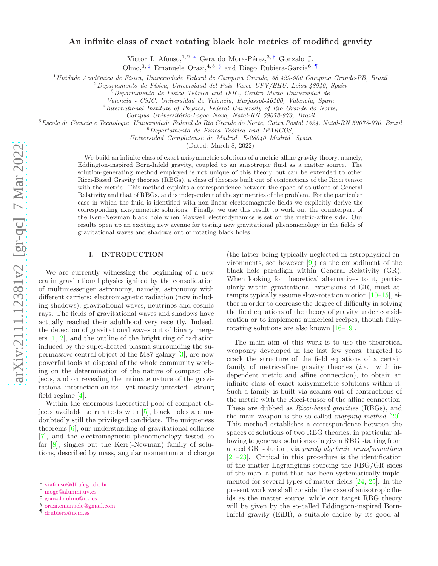# An infinite class of exact rotating black hole metrics of modified gravity

Victor I. Afonso,<sup>1,2,\*</sup> Gerardo Mora-Pérez,<sup>3,[†](#page-0-1)</sup> Gonzalo J.

Olmo,<sup>3,[‡](#page-0-2)</sup> Emanuele Orazi,<sup>4,5, [§](#page-0-3)</sup> and Diego Rubiera-Garcia<sup>6,</sup>

<sup>1</sup>Unidade Acadêmica de Física, Universidade Federal de Campina Grande, 58.429-900 Campina Grande-PB, Brazil<br><sup>2</sup>Departamento de Física, Universidad del País Vasco UPV/EHU, Leioa-48940, Spain<br><sup>3</sup>Departamento de Física Teór

Valencia - CSIC. Universidad de Valencia, Burjassot-46100, Valencia, Spain

<sup>4</sup>International Institute of Physics, Federal University of Rio Grande do Norte,

Campus Universitário-Lagoa Nova, Natal-RN 59078-970, Brazil

 $5$ Escola de Ciencia e Tecnologia, Universidade Federal do Rio Grande do Norte, Caixa Postal 1524, Natal-RN 59078-970, Brazil  $6$ Departamento de Física Teórica and IPARCOS,

Universidad Complutense de Madrid, E-28040 Madrid, Spain

(Dated: March 8, 2022)

We build an infinite class of exact axisymmetric solutions of a metric-affine gravity theory, namely, Eddington-inspired Born-Infeld gravity, coupled to an anisotropic fluid as a matter source. The solution-generating method employed is not unique of this theory but can be extended to other Ricci-Based Gravity theories (RBGs), a class of theories built out of contractions of the Ricci tensor with the metric. This method exploits a correspondence between the space of solutions of General Relativity and that of RBGs, and is independent of the symmetries of the problem. For the particular case in which the fluid is identified with non-linear electromagnetic fields we explicitly derive the corresponding axisymmetric solutions. Finally, we use this result to work out the counterpart of the Kerr-Newman black hole when Maxwell electrodynamics is set on the metric-affine side. Our results open up an exciting new avenue for testing new gravitational phenomenology in the fields of gravitational waves and shadows out of rotating black holes .

### I. INTRODUCTION

We are currently witnessing the beginning of a new era in gravitational physics ignited by the consolidation of multimessenger astronomy, namely, astronomy with different carriers: electromagnetic radiation (now including shadows), gravitational waves, neutrinos and cosmic rays. The fields of gravitational waves and shadows have actually reached their adulthood very recently. Indeed, the detection of gravitational waves out of binary mergers [\[1,](#page-5-0) [2\]](#page-5-1), and the outline of the bright ring of radiation induced by the super-heated plasma surrounding the supermassive central object of the M87 galaxy [\[3\]](#page-5-2), are now powerful tools at disposal of the whole community working on the determination of the nature of compact objects, and on revealing the intimate nature of the gravitational interaction on its - yet mostly untested - strong field regime [ [4\]](#page-5-3).

Within the enormous theoretical pool of compact objects available to run tests with [\[5\]](#page-6-0), black holes are undoubtedly still the privileged candidate. The uniqueness theorems [ [6](#page-6-1)], our understanding of gravitational collapse [ [7\]](#page-6-2), and the electromagnetic phenomenology tested so far [\[](#page-6-3) 8], singles out the Kerr(-Newman) family of solutions, described by mass, angular momentum and charge

(the latter being typically neglected in astrophysical environments, see however  $[9]$  as the embodiment of the black hole paradigm within General Relativity (GR). When looking for theoretical alternatives to it, particularly within gravitational extensions of GR, most attempts typically assume slow-rotation motion [\[10](#page-6-5)[–15](#page-6-6)], either in order to decrease the degree of difficulty in solving the field equations of the theory of gravity under consideration or to implement numerical recipes, though fullyrotating solutions are also known [\[16](#page-6-7)[–19\]](#page-6-8).

The main aim of this work is to use the theoretical weaponry developed in the last few years, targeted to crack the structure of the field equations of a certain family of metric-affine gravity theories *(i.e.* with independent metric and affine connection), to obtain an infinite class of exact axisymmetric solutions within it. Such a family is built via scalars out of contractions of the metric with the Ricci-tensor of the affine connection. These are dubbed as Ricci-based gravities (RBGs), and the main weapon is the so-called *mapping method*  $[20]$ . This method establishes a correspondence between the spaces of solutions of two RBG theories, in particular allowing to generate solutions of a given RBG starting from a seed GR solution, via purely algebraic transformations [\[21](#page-6-10)[–23\]](#page-6-11). Critical in this procedure is the identification of the matter Lagrangians sourcing the RBG/GR sides of the map, a point that has been systematically implemented for several types of matter fields [\[24,](#page-6-12) [25\]](#page-6-13). In the present work we shall consider the case of anisotropic fluids as the matter source, while our target RBG theory will be given by the so-called Eddington-inspired Born-Infeld gravity (EiBI), a suitable choice by its good al-

<span id="page-0-0"></span><sup>∗</sup> [viafonso@df.ufcg.edu.br](mailto:viafonso@df.ufcg.edu.br)

<span id="page-0-1"></span><sup>†</sup> [moge@alumni.uv.es](mailto:moge@alumni.uv.es)

<span id="page-0-2"></span><sup>‡</sup> [gonzalo.olmo@uv.es](mailto:gonzalo.olmo@uv.es)

<span id="page-0-3"></span><sup>§</sup> [orazi.emanuele@gmail.com](mailto:orazi.emanuele@gmail.com)

<span id="page-0-4"></span><sup>¶</sup> [drubiera@ucm.es](mailto:drubiera@ucm.es)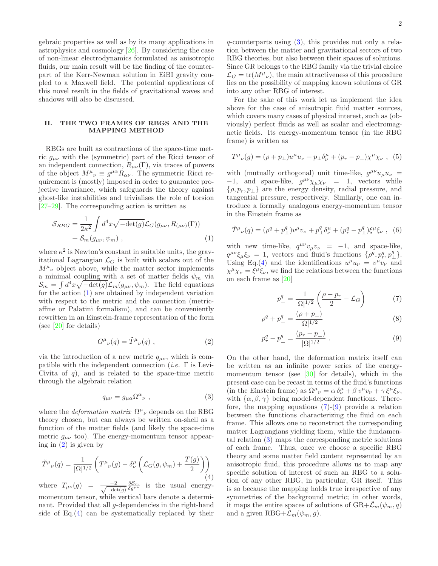gebraic properties as well as by its many applications in astrophysics and cosmology [\[26\]](#page-6-14). By considering the case of non-linear electrodynamics formulated as anisotropic fluids, our main result will be the finding of the counterpart of the Kerr-Newman solution in EiBI gravity coupled to a Maxwell field. The potential applications of this novel result in the fields of gravitational waves and shadows will also be discussed.

## II. THE TWO FRAMES OF RBGS AND THE MAPPING METHOD

RBGs are built as contractions of the space-time metric  $g_{\mu\nu}$  with the (symmetric) part of the Ricci tensor of an independent connection,  $R_{\mu\nu}(\Gamma)$ , via traces of powers of the object  $M^{\mu}{}_{\nu} \equiv g^{\mu\alpha} R_{\alpha\nu}$ . The symmetric Ricci requirement is (mostly) imposed in order to guarantee projective invariance, which safeguards the theory against ghost-like instabilities and trivialises the role of torsion [\[27](#page-6-15)[–29\]](#page-6-16). The corresponding action is written as

<span id="page-1-0"></span>
$$
S_{RBG} = \frac{1}{2\kappa^2} \int d^4x \sqrt{-\det(g)} \mathcal{L}_G(g_{\mu\nu}, R_{(\mu\nu)}(\Gamma)) + S_m(g_{\mu\nu}, \psi_m) , \qquad (1)
$$

where  $\kappa^2$  is Newton's constant in suitable units, the gravitational Lagrangian  $\mathcal{L}_G$  is built with scalars out of the  $M^{\mu}{}_{\nu}$  object above, while the matter sector implements a minimal coupling with a set of matter fields  $\psi_m$  via  $S_m = \int d^4x \sqrt{-\det(g)} \mathcal{L}_m(g_{\mu\nu}, \psi_m)$ . The field equations for the action [\(1\)](#page-1-0) are obtained by independent variation with respect to the metric and the connection (metricaffine or Palatini formalism), and can be conveniently rewritten in an Einstein-frame representation of the form (see [\[20\]](#page-6-9) for details)

<span id="page-1-1"></span>
$$
G^{\mu}{}_{\nu}(q) = \tilde{T}^{\mu}{}_{\nu}(q) , \qquad (2)
$$

via the introduction of a new metric  $q_{\mu\nu}$ , which is compatible with the independent connection (*i.e.*  $\Gamma$  is Levi-Civita of  $q$ ), and is related to the space-time metric through the algebraic relation

<span id="page-1-3"></span>
$$
q_{\mu\nu} = g_{\mu\alpha} \Omega^{\alpha}{}_{\nu} , \qquad (3)
$$

where the *deformation matrix*  $\Omega^{\mu}{}_{\nu}$  depends on the RBG theory chosen, but can always be written on-shell as a function of the matter fields (and likely the space-time metric  $g_{\mu\nu}$  too). The energy-momentum tensor appearing in [\(2\)](#page-1-1) is given by

<span id="page-1-2"></span>
$$
\tilde{T}^{\mu}{}_{\nu}(q) = \frac{1}{|\Omega|^{1/2}} \left( T^{\mu}{}_{\nu}(q) - \delta^{\mu}_{\nu} \left( \mathcal{L}_G(g, \psi_m) + \frac{T(g)}{2} \right) \right)
$$
\n(4)

where  $T_{\mu\nu}(g) = \frac{-2}{\sqrt{-\det(g)}}$  $\frac{\delta S_m}{\delta g^{\mu\nu}}$  is the usual energymomentum tensor, while vertical bars denote a determinant. Provided that all *q*-dependencies in the right-hand side of Eq.[\(4\)](#page-1-2) can be systematically replaced by their q-counterparts using [\(3\)](#page-1-3), this provides not only a relation between the matter and gravitational sectors of two RBG theories, but also between their spaces of solutions. Since GR belongs to the RBG family via the trivial choice  $\mathcal{L}_G = \text{tr}(M^{\mu}{}_{\nu}),$  the main attractiveness of this procedure lies on the possibility of mapping known solutions of GR into any other RBG of interest.

For the sake of this work let us implement the idea above for the case of anisotropic fluid matter sources, which covers many cases of physical interest, such as (obviously) perfect fluids as well as scalar and electromagnetic fields. Its energy-momentum tensor (in the RBG frame) is written as

<span id="page-1-5"></span>
$$
T^{\mu}{}_{\nu}(g) = (\rho + p_{\perp})u^{\mu}u_{\nu} + p_{\perp}\delta^{\mu}_{\nu} + (p_r - p_{\perp})\chi^{\mu}\chi_{\nu} , (5)
$$

with (mutually orthogonal) unit time-like,  $g^{\mu\nu}u_{\mu}u_{\nu}$  =  $-1$ , and space-like,  $g^{\mu\nu}\chi_{\mu}\chi_{\nu} = 1$ , vectors while  $\{\rho, p_r, p_\perp\}$  are the energy density, radial pressure, and tangential pressure, respectively. Similarly, one can introduce a formally analogous energy-momentum tensor in the Einstein frame as

$$
\tilde{T}^{\mu}{}_{\nu}(q) = (\rho^q + p^q_{\perp})v^{\mu}v_{\nu} + p^q_{\perp}\delta^{\mu}_{\nu} + (p^q_{r} - p^q_{\perp})\xi^{\mu}\xi_{\nu} , \quad (6)
$$

with new time-like,  $q^{\mu\nu}v_{\mu}v_{\nu} = -1$ , and space-like,  $q^{\mu\nu}\xi_{\mu}\xi_{\nu} = 1$ , vectors and fluid's functions  $\{\rho^q, p^q, p^q\}$ . Using Eq.[\(4\)](#page-1-2) and the identifications  $u^{\mu}u_{\nu} = v^{\mu}v_{\nu}$  and  $\chi^{\mu}\chi_{\nu} = \xi^{\mu}\xi_{\nu}$ , we find the relations between the functions on each frame as [\[20](#page-6-9)]

<span id="page-1-4"></span>
$$
p_{\perp}^{q} = \frac{1}{|\Omega|^{1/2}} \left( \frac{\rho - p_r}{2} - \mathcal{L}_G \right) \tag{7}
$$

$$
\rho^q + p_\perp^q = \frac{(\rho + p_\perp)}{|\Omega|^{1/2}}\tag{8}
$$

$$
p_r^q - p_\perp^q = \frac{(p_r - p_\perp)}{|\Omega|^{1/2}} \ . \tag{9}
$$

On the other hand, the deformation matrix itself can be written as an infinite power series of the energymomentum tensor (see [\[30](#page-6-17)] for details), which in the present case can be recast in terms of the fluid's functions (in the Einstein frame) as  $\Omega^{\mu}{}_{\nu} = \alpha \delta^{\mu}_{\nu} + \beta v^{\mu}v_{\nu} + \gamma \xi^{\mu}\xi_{\nu}$ , with  $\{\alpha, \beta, \gamma\}$  being model-dependent functions. Therefore, the mapping equations  $(7)-(9)$  $(7)-(9)$  provide a relation between the functions characterizing the fluid on each frame. This allows one to reconstruct the corresponding matter Lagrangians yielding them, while the fundamental relation [\(3\)](#page-1-3) maps the corresponding metric solutions of each frame. Thus, once we choose a specific RBG theory and some matter field content represented by an anisotropic fluid, this procedure allows us to map any specific solution of interest of such an RBG to a solution of any other RBG, in particular, GR itself. This is so because the mapping holds true irrespective of any symmetries of the background metric; in other words, it maps the entire spaces of solutions of  $\text{GR}+\mathcal{L}_m(\psi_m, q)$ and a given  $\text{RBG+}\mathcal{L}_m(\psi_m, g)$ .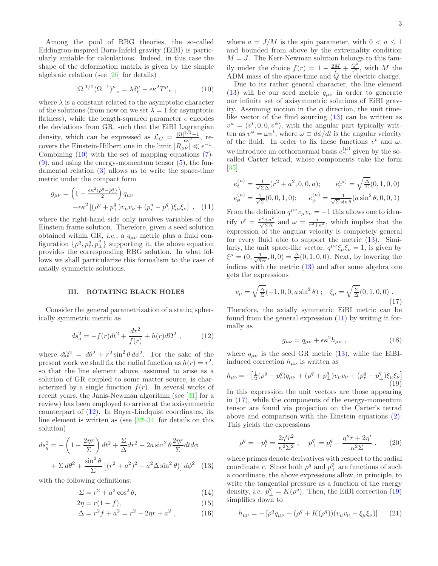Among the pool of RBG theories, the so-called Eddington-inspired Born-Infeld gravity (EiBI) is particularly amiable for calculations. Indeed, in this case the shape of the deformation matrix is given by the simple algebraic relation (see [\[26](#page-6-14)] for details)

<span id="page-2-0"></span>
$$
|\Omega|^{1/2} (\Omega^{-1})^{\mu}{}_{\nu} = \lambda \delta^{\mu}_{\nu} - \epsilon \kappa^2 T^{\mu}{}_{\nu} , \qquad (10)
$$

where  $\lambda$  is a constant related to the asymptotic character of the solutions (from now on we set  $\lambda = 1$  for asymptotic flatness), while the length-squared parameter  $\epsilon$  encodes the deviations from GR, such that the EiBI Lagrangian density, which can be expressed as  $\mathcal{L}_G = \frac{|\Omega|^{1/2}-1}{\epsilon \kappa^2}$ , recovers the Einstein-Hilbert one in the limit  $|R_{\mu\nu}| \ll \epsilon^{-1}$ . Combining  $(10)$  with the set of mapping equations  $(7)$ - $(9)$ , and using the energy-momentum tensor  $(5)$ , the fundamental relation [\(3\)](#page-1-3) allows us to write the space-time metric under the compact form

<span id="page-2-3"></span>
$$
g_{\mu\nu} = \left(1 - \frac{\epsilon \kappa^2 (\rho^q - p_r^q)}{2}\right) q_{\mu\nu} - \epsilon \kappa^2 \left[ (\rho^q + p_\perp^q) v_\mu v_\nu + (p_r^q - p_\perp^q) \xi_\mu \xi_\nu \right] , \quad (11)
$$

where the right-hand side only involves variables of the Einstein frame solution. Therefore, given a seed solution obtained within GR, *i.e.*, a  $q_{\mu\nu}$  metric plus a fluid configuration  $\{ \rho^q, p^q_\perp, p^q_\perp \}$  supporting it, the above equation provides the corresponding RBG solution. In what follows we shall particularize this formalism to the case of axially symmetric solutions.

### III. ROTATING BLACK HOLES

Consider the general parametrization of a static, spherically symmetric metric as

<span id="page-2-1"></span>
$$
ds_q^2 = -f(r)dt^2 + \frac{dr^2}{f(r)} + h(r)d\Omega^2 ,
$$
 (12)

where  $d\Omega^2 = d\theta^2 + r^2 \sin^2 \theta d\phi^2$ . For the sake of the present work we shall fix the radial function as  $h(r) = r^2$ , so that the line element above, assumed to arise as a solution of GR coupled to some matter source, is characterized by a single function  $f(r)$ . In several works of recent years, the Janis-Newman algorithm (see [\[31](#page-6-18)] for a review) has been employed to arrive at the axisymmetric counterpart of [\(12\)](#page-2-1). In Boyer-Lindquist coordinates, its line element is written as (see [\[32](#page-6-19)[–34\]](#page-6-20) for details on this solution)

<span id="page-2-2"></span>
$$
ds_q^2 = -\left(1 - \frac{2\eta r}{\Sigma}\right)dt^2 + \frac{\Sigma}{\Delta}dr^2 - 2a\sin^2\theta \frac{2\eta r}{\Sigma}dt d\phi
$$

$$
+ \Sigma d\theta^2 + \frac{\sin^2\theta}{\Sigma} \left[ (r^2 + a^2)^2 - a^2\Delta\sin^2\theta \right] d\phi^2 \quad (13)
$$

with the following definitions:

<span id="page-2-8"></span>
$$
\Sigma = r^2 + a^2 \cos^2 \theta,\tag{14}
$$

$$
2\eta = r(1 - f),\tag{15}
$$

$$
\Delta = r^2 f + a^2 = r^2 - 2\eta r + a^2 \,, \tag{16}
$$

where  $a = J/M$  is the spin parameter, with  $0 < a \leq 1$ and bounded from above by the extremality condition  $M = J$ . The Kerr-Newman solution belongs to this family under the choice  $f(r) = 1 - \frac{2M}{r} + \frac{Q^2}{r^2}$ , with M the ADM mass of the space-time and  $\dot{Q}$  the electric charge.

Due to its rather general character, the line element [\(13\)](#page-2-2) will be our seed metric  $q_{\mu\nu}$  in order to generate our infinite set of axisymmetric solutions of EiBI gravity. Assuming motion in the  $\phi$  direction, the unit timelike vector of the fluid sourcing [\(13\)](#page-2-2) can be written as  $v^{\mu} = (v^t, 0, 0, v^{\phi}),$  with the angular part typically written as  $v^{\phi} = \omega v^t$ , where  $\omega \equiv d\phi/dt$  is the angular velocity of the fluid. In order to fix these functions  $v^t$  and  $\omega$ , we introduce an orthornormal basis  $e_{\alpha}^{(\mu)}$  given by the socalled Carter tetrad, whose components take the form [\[35\]](#page-6-21)

$$
e_t^{(\mu)} = \frac{1}{\sqrt{\Sigma\Delta}} (r^2 + a^2, 0, 0, a); \qquad e_r^{(\mu)} = \sqrt{\frac{\Delta}{\Sigma}} (0, 1, 0, 0)
$$
  

$$
e_\theta^{(\mu)} = \frac{1}{\sqrt{\Sigma}} (0, 0, 1, 0); \qquad e_\phi^{(\mu)} = \frac{-1}{\sqrt{\Sigma}\sin\theta} (a\sin^2\theta, 0, 0, 1)
$$

From the definition  $q^{\mu\nu}v_{\mu}v_{\nu} = -1$  this allows one to identify  $v^t = \frac{r^2 + a^2}{\sqrt{\Sigma \Delta}}$  and  $\omega = \frac{a}{r^2 + a^2}$ , which implies that the expression of the angular velocity is completely general for every fluid able to support the metric [\(13\)](#page-2-2). Similarly, the unit space-like vector,  $q^{\mu\nu}\xi_{\mu}\xi_{\nu} = 1$ , is given by  $\xi^{\mu} = (0, \frac{1}{\sqrt{q_{rr}}}, 0, 0) = \frac{\Delta}{\Sigma}(0, 1, 0, 0)$ . Next, by lowering the indices with the metric [\(13\)](#page-2-2) and after some algebra one gets the expressions

<span id="page-2-4"></span>
$$
v_{\mu} = \sqrt{\frac{\Delta}{\Sigma}} (-1, 0, 0, a \sin^2 \theta) ; \quad \xi_{\mu} = \sqrt{\frac{\Sigma}{\Delta}} (0, 1, 0, 0) .
$$
\n(17)

Therefore, the axially symmetric EiBI metric can be found from the general expression  $(11)$  by writing it formally as

<span id="page-2-6"></span>
$$
g_{\mu\nu} = q_{\mu\nu} + \epsilon \kappa^2 h_{\mu\nu} \ , \qquad (18)
$$

where  $q_{\mu\nu}$  is the seed GR metric [\(13\)](#page-2-2), while the EiBIinduced correction  $h_{\mu\nu}$  is written as

<span id="page-2-5"></span>
$$
h_{\mu\nu} = -\left[\frac{1}{2}(\rho^q - p_r^q)q_{\mu\nu} + (\rho^q + p_\perp^q)v_\mu v_\nu + (p_r^q - p_\perp^q)\xi_\mu\xi_\nu\right] \tag{19}
$$

In this expression the unit vectors are those appearing in [\(17\)](#page-2-4), while the components of the energy-momentum tensor are found via projection on the Carter's tetrad above and comparison with the Einstein equations [\(2\)](#page-1-1). This yields the expressions

<span id="page-2-7"></span>
$$
\rho^q = -p_r^q = \frac{2\eta' r^2}{\kappa^2 \Sigma^2} \, ; \quad p_\perp^q = p_r^q - \frac{\eta'' r + 2\eta'}{\kappa^2 \Sigma} \, , \quad (20)
$$

where primes denote derivatives with respect to the radial coordinate r. Since both  $\rho^q$  and  $p^q_{\perp}$  are functions of such a coordinate, the above expressions allow, in principle, to write the tangential pressure as a function of the energy density, *i.e.*  $p_{\perp}^{q} = K(\rho^{q})$ . Then, the EiBI correction [\(19\)](#page-2-5) simplifies down to

$$
h_{\mu\nu} = -\left[\rho^q q_{\mu\nu} + (\rho^q + K(\rho^q))(v_\mu v_\nu - \xi_\mu \xi_\nu)\right] \tag{21}
$$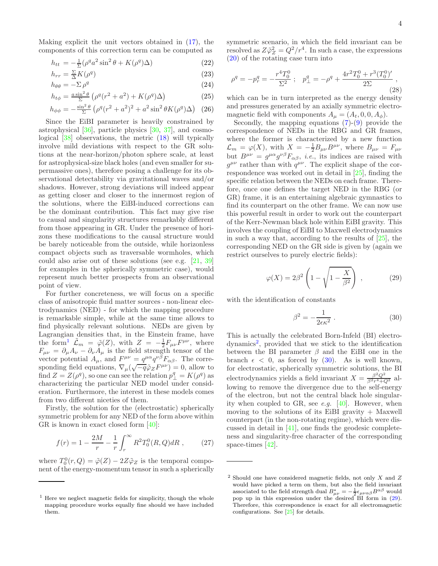Making explicit the unit vectors obtained in [\(17\)](#page-2-4), the components of this correction term can be computed as

<span id="page-3-6"></span>
$$
h_{tt} = -\frac{1}{\Sigma} (\rho^q a^2 \sin^2 \theta + K(\rho^q) \Delta)
$$
 (22)

$$
h_{rr} = \frac{\Sigma}{\Delta} K(\rho^q) \tag{23}
$$

$$
h_{\theta\theta} = -\Sigma \,\rho^q \tag{24}
$$

$$
h_{t\phi} = \frac{a\sin^2\theta}{\Sigma} \left( \rho^q (r^2 + a^2) + K(\rho^q) \Delta \right)
$$
 (25)

$$
h_{\phi\phi} = -\frac{\sin^2\theta}{\Sigma} \left( \rho^q (r^2 + a^2)^2 + a^2 \sin^2\theta K(\rho^q) \Delta \right) (26)
$$

Since the EiBI parameter is heavily constrained by astrophysical [\[36\]](#page-6-22), particle physics [\[30](#page-6-17), [37](#page-6-23)], and cosmological [\[38](#page-6-24)] observations, the metric [\(18\)](#page-2-6) will typically involve mild deviations with respect to the GR solutions at the near-horizon/photon sphere scale, at least for astrophysical-size black holes (and even smaller for supermassive ones), therefore posing a challenge for its observational detectability via gravitational waves and/or shadows. However, strong deviations will indeed appear as getting closer and closer to the innermost region of the solutions, where the EiBI-induced corrections can be the dominant contribution. This fact may give rise to causal and singularity structures remarkably different from those appearing in GR. Under the presence of horizons these modifications to the causal structure would be barely noticeable from the outside, while horizonless compact objects such as traversable wormholes, which could also arise out of these solutions (see e.g. [\[21,](#page-6-10) [39](#page-6-25)] for examples in the spherically symmetric case), would represent much better prospects from an observational point of view.

For further concreteness, we will focus on a specific class of anisotropic fluid matter sources - non-linear electrodynamics (NED) - for which the mapping procedure is remarkable simple, while at the same time allows to find physically relevant solutions. NEDs are given by Lagrangian densities that, in the Einstein frame, have the form<sup>[1](#page-3-0)</sup>  $\tilde{\mathcal{L}}_m = \tilde{\varphi}(Z)$ , with  $Z = -\frac{1}{2}F_{\mu\nu}F^{\mu\nu}$ , where  $F_{\mu\nu} = \partial_{\mu}A_{\nu} - \partial_{\nu}A_{\mu}$  is the field strength tensor of the vector potential  $A_{\mu}$ , and  $F^{\mu\nu} = q^{\mu\alpha} q^{\nu\beta} F_{\alpha\beta}$ . The corresponding field equations,  $\nabla_{\mu}(\sqrt{-q\tilde{\varphi}}_Z F^{\mu\nu}) = 0$ , allow to find  $Z = Z(\rho^q)$ , so one can see the relation  $p_\perp^q = K(\rho^q)$  as characterizing the particular NED model under consideration. Furthermore, the interest in these models comes from two different niceties of them.

Firstly, the solution for the (electrostatic) spherically symmetric problem for any NED of the form above within GR is known in exact closed form [\[40\]](#page-6-26):

<span id="page-3-4"></span>
$$
f(r) = 1 - \frac{2M}{r} - \frac{1}{r} \int_r^{\infty} R^2 T_0^0(R, Q) dR , \qquad (27)
$$

where  $T_0^0(r, Q) = \tilde{\varphi}(Z) - 2Z\tilde{\varphi}_Z$  is the temporal component of the energy-momentum tensor in such a spherically

symmetric scenario, in which the field invariant can be resolved as  $Z\tilde{\varphi}_Z^2 = Q^2/r^4$ . In such a case, the expressions [\(20\)](#page-2-7) of the rotating case turn into

<span id="page-3-5"></span>
$$
\rho^q = -p_r^q = -\frac{r^4 T_0^0}{\Sigma^2} \; ; \quad p_\perp^q = -\rho^q + \frac{4r^2 T_0^0 + r^3 (T_0^0)'}{2\Sigma} \; , \tag{28}
$$

which can be in turn interpreted as the energy density and pressures generated by an axially symmetric electromagnetic field with components  $A_{\mu} = (A_t, 0, 0, A_{\phi}).$ 

Secondly, the mapping equations  $(7)-(9)$  $(7)-(9)$  provide the correspondence of NEDs in the RBG and GR frames, where the former is characterized by a new function  $\mathcal{L}_m = \varphi(X)$ , with  $X = -\frac{1}{2}B_{\mu\nu}B^{\mu\nu}$ , where  $B_{\mu\nu} = F_{\mu\nu}$ but  $B^{\mu\nu} = g^{\mu\alpha} g^{\nu\beta} F_{\alpha\beta}$ , *i.e.*, its indices are raised with  $g^{\mu\nu}$  rather than with  $q^{\mu\nu}$ . The explicit shape of the correspondence was worked out in detail in [\[25\]](#page-6-13), finding the specific relation between the NEDs on each frame. Therefore, once one defines the target NED in the RBG (or GR) frame, it is an entertaining algebraic gymnastics to find its counterpart on the other frame. We can now use this powerful result in order to work out the counterpart of the Kerr-Newman black hole within EiBI gravity. This involves the coupling of EiBI to Maxwell electrodynamics in such a way that, according to the results of [\[25\]](#page-6-13), the corresponding NED on the GR side is given by (again we restrict ourselves to purely electric fields):

<span id="page-3-3"></span>
$$
\varphi(X) = 2\beta^2 \left( 1 - \sqrt{1 - \frac{X}{\beta^2}} \right) ,\qquad (29)
$$

with the identification of constants

<span id="page-3-2"></span>
$$
\beta^2 = -\frac{1}{2\epsilon\kappa^2} \,. \tag{30}
$$

This is actually the celebrated Born-Infeld (BI) electro-dynamics<sup>[2](#page-3-1)</sup>, provided that we stick to the identification between the BI parameter  $\beta$  and the EiBI one in the branch  $\epsilon$  < 0, as forced by [\(30\)](#page-3-2). As is well known, for electrostatic, spherically symmetric solutions, the BI electrodynamics yields a field invariant  $X = \frac{\beta^2 Q^2}{\beta^2 r^4 + Q^2}$  allowing to remove the divergence due to the self-energy of the electron, but not the central black hole singularity when coupled to GR, see e.g. [\[40](#page-6-26)]. However, when moving to the solutions of its EiBI gravity  $+$  Maxwell counterpart (in the non-rotating regime), which were discussed in detail in [\[41](#page-6-27)], one finds the geodesic completeness and singularity-free character of the corresponding space-times [\[42](#page-6-28)].

<span id="page-3-0"></span> $<sup>1</sup>$  Here we neglect magnetic fields for simplicity, though the whole</sup> mapping procedure works equally fine should we have included them.

<span id="page-3-1"></span><sup>2</sup> Should one have considered magnetic fields, not only X and Z would have picked a term on them, but also the field invariant associated to the field strength dual  $B^*_{\mu\nu} = -\frac{1}{2} \epsilon_{\mu\nu\alpha\beta} B^{\alpha\beta}$  would pop up in this expression under the desired BI form in [\(29\)](#page-3-3). Therefore, this correspondence is exact for all electromagnetic configurations. See [\[25](#page-6-13)] for details.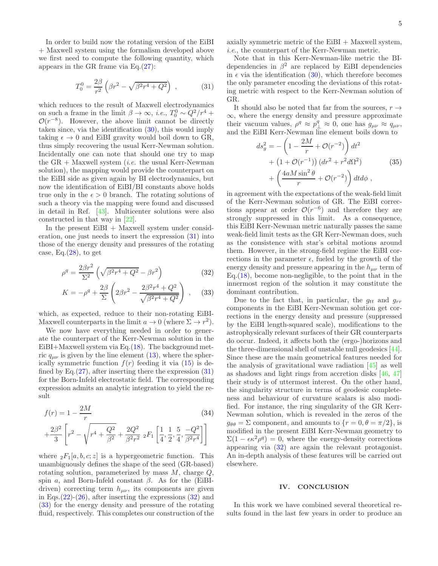In order to build now the rotating version of the EiBI + Maxwell system using the formalism developed above we first need to compute the following quantity, which appears in the GR frame via Eq.[\(27\)](#page-3-4):

<span id="page-4-0"></span>
$$
T_0^0 = \frac{2\beta}{r^2} \left( \beta r^2 - \sqrt{\beta^2 r^4 + Q^2} \right) , \qquad (31)
$$

which reduces to the result of Maxwell electrodynamics on such a frame in the limit  $\beta \to \infty$ , *i.e.*,  $T_0^0 \sim Q^2/r^4 +$  $\mathcal{O}(r^{-8})$ . However, the above limit cannot be directly taken since, via the identification [\(30\)](#page-3-2), this would imply taking  $\epsilon \to 0$  and EiBI gravity would boil down to GR, thus simply recovering the usual Kerr-Newman solution. Incidentally one can note that should one try to map the  $GR + Maxwell$  system *(i.e.* the usual Kerr-Newman solution), the mapping would provide the counterpart on the EiBI side as given again by BI electrodynamics, but now the identification of EiBI/BI constants above holds true only in the  $\epsilon > 0$  branch. The rotating solutions of such a theory via the mapping were found and discussed in detail in Ref. [\[43\]](#page-6-29). Multicenter solutions were also constructed in that way in [\[22\]](#page-6-30).

In the present  $EiBI + Maxwell$  system under consideration, one just needs to insert the expression [\(31\)](#page-4-0) into those of the energy density and pressures of the rotating case, Eq. $(28)$ , to get

<span id="page-4-1"></span>
$$
\rho^q = \frac{2\beta r^2}{\Sigma^2} \left( \sqrt{\beta^2 r^4 + Q^2} - \beta r^2 \right) \tag{32}
$$

$$
K = -\rho^q + \frac{2\beta}{\Sigma} \left( 2\beta r^2 - \frac{2\beta^2 r^4 + Q^2}{\sqrt{\beta^2 r^4 + Q^2}} \right) , \quad (33)
$$

which, as expected, reduce to their non-rotating EiBI-Maxwell counterparts in the limit  $a \to 0$  (where  $\Sigma \to r^2$ ).

We now have everything needed in order to generate the counterpart of the Kerr-Newman solution in the EiBI+Maxwell system via Eq. $(18)$ . The background metric  $q_{\mu\nu}$  is given by the line element [\(13\)](#page-2-2), where the spherically symmetric function  $f(r)$  feeding it via  $(15)$  is defined by Eq. $(27)$ , after inserting there the expression  $(31)$ for the Born-Infeld electrostatic field. The corresponding expression admits an analytic integration to yield the result

$$
f(r) = 1 - \frac{2M}{r}
$$
(34)  
 
$$
+ \frac{2\beta^2}{3} \left[ r^2 - \sqrt{r^4 + \frac{Q^2}{\beta^2} + \frac{2Q^2}{\beta^2 r^2} \, _2F_1 \left[ \frac{1}{4}, \frac{1}{2}, \frac{5}{4}, \frac{-Q^2}{\beta^2 r^4} \right] \right]
$$

where  ${}_2F_1[a, b, c; z]$  is a hypergeometric function. This unambiguously defines the shape of the seed (GR-based) rotating solution, parameterized by mass  $M$ , charge  $Q$ , spin a, and Born-Infeld constant  $\beta$ . As for the (EiBIdriven) correcting term  $h_{\mu\nu}$ , its components are given in Eqs.  $(22)-(26)$  $(22)-(26)$  $(22)-(26)$ , after inserting the expressions  $(32)$  and [\(33\)](#page-4-1) for the energy density and pressure of the rotating fluid, respectively. This completes our construction of the

axially symmetric metric of the  $EiBI + Maxwell$  system, i.e., the counterpart of the Kerr-Newman metric.

Note that in this Kerr-Newman-like metric the BIdependencies in  $\beta^2$  are replaced by EiBI dependencies in  $\epsilon$  via the identification [\(30\)](#page-3-2), which therefore becomes the only parameter encoding the deviations of this rotating metric with respect to the Kerr-Newman solution of GR.

It should also be noted that far from the sources,  $r \rightarrow$  $\infty$ , where the energy density and pressure approximate their vacuum values,  $\rho^q \approx p_\perp^q \approx 0$ , one has  $g_{\mu\nu} \approx q_{\mu\nu}$ , and the EiBI Kerr-Newman line element boils down to

$$
ds_g^2 = -\left(1 - \frac{2M}{r} + \mathcal{O}(r^{-2})\right) dt^2
$$
  
+ 
$$
\left(1 + \mathcal{O}(r^{-1})\right) (dr^2 + r^2 d\Omega^2)
$$
  
+ 
$$
\left(\frac{4aM\sin^2\theta}{r} + \mathcal{O}(r^{-2})\right) dt d\phi,
$$
 (35)

in agreement with the expectations of the weak-field limit of the Kerr-Newman solution of GR. The EiBI corrections appear at order  $\mathcal{O}(r^{-6})$  and therefore they are strongly suppressed in this limit. As a consequence, this EiBI Kerr-Newman metric naturally passes the same weak-field limit tests as the GR Kerr-Newman does, such as the consistence with star's orbital motions around them. However, in the strong-field regime the EiBI corrections in the parameter  $\epsilon$ , fueled by the growth of the energy density and pressure appearing in the  $h_{\mu\nu}$  term of Eq.[\(18\)](#page-2-6), become non-negligible, to the point that in the innermost region of the solution it may constitute the dominant contribution.

Due to the fact that, in particular, the  $g_{tt}$  and  $g_{rr}$ components in the EiBI Kerr-Newman solution get corrections in the energy density and pressure (suppressed by the EiBI length-squared scale), modifications to the astrophysically relevant surfaces of their GR counterparts do occur. Indeed, it affects both the (ergo-)horizons and the three-dimensional shell of unstable null geodesics [\[44\]](#page-6-31). Since these are the main geometrical features needed for the analysis of gravitational wave radiation [\[45\]](#page-6-32) as well as shadows and light rings from accretion disks [\[46,](#page-6-33) [47](#page-6-34)] their study is of uttermost interest. On the other hand, the singularity structure in terms of geodesic completeness and behaviour of curvature scalars is also modified. For instance, the ring singularity of the GR Kerr-Newman solution, which is revealed in the zeros of the  $g_{\theta\theta} = \Sigma$  component, and amounts to  $\{r = 0, \theta = \pi/2\}$ , is modified in the present EiBI Kerr-Newman geometry to  $\Sigma(1 - \epsilon \kappa^2 \rho^q) = 0$ , where the energy-density corrections appearing via [\(32\)](#page-4-1) are again the relevant protagonist. An in-depth analysis of these features will be carried out elsewhere.

### IV. CONCLUSION

In this work we have combined several theoretical results found in the last few years in order to produce an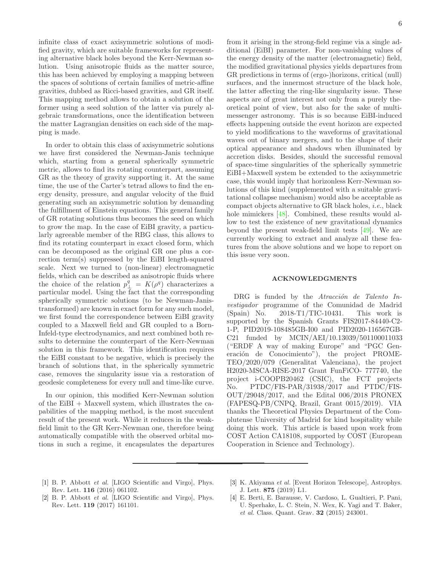infinite class of exact axisymmetric solutions of modified gravity, which are suitable frameworks for representing alternative black holes beyond the Kerr-Newman solution. Using anisotropic fluids as the matter source, this has been achieved by employing a mapping between the spaces of solutions of certain families of metric-affine gravities, dubbed as Ricci-based gravities, and GR itself. This mapping method allows to obtain a solution of the former using a seed solution of the latter via purely algebraic transformations, once the identification between the matter Lagrangian densities on each side of the mapping is made.

In order to obtain this class of axisymmetric solutions we have first considered the Newman-Janis technique which, starting from a general spherically symmetric metric, allows to find its rotating counterpart, assuming GR as the theory of gravity supporting it. At the same time, the use of the Carter's tetrad allows to find the energy density, pressure, and angular velocity of the fluid generating such an axisymmetric solution by demanding the fulfillment of Einstein equations. This general family of GR rotating solutions thus becomes the seed on which to grow the map. In the case of EiBI gravity, a particularly agreeable member of the RBG class, this allows to find its rotating counterpart in exact closed form, which can be decomposed as the original GR one plus a correction term(s) suppressed by the EiBI length-squared scale. Next we turned to (non-linear) electromagnetic fields, which can be described as anisotropic fluids where the choice of the relation  $p_{\perp}^q = K(\rho^q)$  characterizes a particular model. Using the fact that the corresponding spherically symmetric solutions (to be Newman-Janistransformed) are known in exact form for any such model, we first found the correspondence between EiBI gravity coupled to a Maxwell field and GR coupled to a Born-Infeld-type electrodynamics, and next combined both results to determine the counterpart of the Kerr-Newman solution in this framework. This identification requires the EiBI constant to be negative, which is precisely the branch of solutions that, in the spherically symmetric case, removes the singularity issue via a restoration of geodesic completeness for every null and time-like curve.

In our opinion, this modified Kerr-Newman solution of the  $EiBI + Maxwell$  system, which illustrates the capabilities of the mapping method, is the most succulent result of the present work. While it reduces in the weakfield limit to the GR Kerr-Newman one, therefore being automatically compatible with the observed orbital motions in such a regime, it encapsulates the departures

from it arising in the strong-field regime via a single additional (EiBI) parameter. For non-vanishing values of the energy density of the matter (electromagnetic) field, the modified gravitational physics yields departures from GR predictions in terms of (ergo-)horizons, critical (null) surfaces, and the innermost structure of the black hole, the latter affecting the ring-like singularity issue. These aspects are of great interest not only from a purely theoretical point of view, but also for the sake of multimessenger astronomy. This is so because EiBI-induced effects happening outside the event horizon are expected to yield modifications to the waveforms of gravitational waves out of binary mergers, and to the shape of their optical appearance and shadows when illuminated by accretion disks. Besides, should the successful removal of space-time singularities of the spherically symmetric EiBI+Maxwell system be extended to the axisymmetric case, this would imply that horizonless Kerr-Newman solutions of this kind (supplemented with a suitable gravitational collapse mechanism) would also be acceptable as compact objects alternative to GR black holes, i.e., black hole mimickers [\[48](#page-6-35)]. Combined, these results would allow to test the existence of new gravitational dynamics beyond the present weak-field limit tests [\[49\]](#page-6-36). We are currently working to extract and analyze all these features from the above solutions and we hope to report on this issue very soon.

#### ACKNOWLEDGMENTS

DRG is funded by the  $A tracción$  de Talento Investigador programme of the Comunidad de Madrid (Spain) No. 2018-T1/TIC-10431. This work is supported by the Spanish Grants FIS2017-84440-C2- 1-P, PID2019-108485GB-I00 and PID2020-116567GB-C21 funded by MCIN/AEI/10.13039/501100011033 ("ERDF A way of making Europe" and "PGC Generación de Conocimiento"), the project PROME-TEO/2020/079 (Generalitat Valenciana), the project H2020-MSCA-RISE-2017 Grant FunFiCO- 777740, the project i-COOPB20462 (CSIC), the FCT projects No. PTDC/FIS-PAR/31938/2017 and PTDC/FIS-OUT/29048/2017, and the Edital 006/2018 PRONEX (FAPESQ-PB/CNPQ, Brazil, Grant 0015/2019). VIA thanks the Theoretical Physics Department of the Complutense University of Madrid for kind hospitality while doing this work. This article is based upon work from COST Action CA18108, supported by COST (European Cooperation in Science and Technology).

- <span id="page-5-0"></span>[1] B. P. Abbott *et al.* [LIGO Scientific and Virgo], Phys. Rev. Lett. 116 (2016) 061102.
- <span id="page-5-2"></span>[3] K. Akiyama et al. [Event Horizon Telescope], Astrophys. J. Lett. 875 (2019) L1.
- <span id="page-5-1"></span>[2] B. P. Abbott *et al.* [LIGO Scientific and Virgo], Phys. Rev. Lett. 119 (2017) 161101.
- <span id="page-5-3"></span>[4] E. Berti, E. Barausse, V. Cardoso, L. Gualtieri, P. Pani, U. Sperhake, L. C. Stein, N. Wex, K. Yagi and T. Baker, et al. Class. Quant. Grav. 32 (2015) 243001.